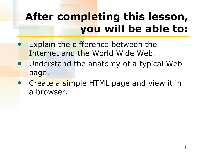# **After completing this lesson, you will be able to:**

- Explain the difference between the Internet and the World Wide Web.
- Understand the anatomy of a typical Web page.
- Create a simple HTML page and view it in a browser.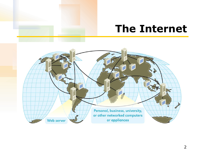#### **The Internet**

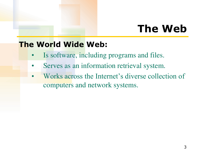# **The Web**

#### **The World Wide Web:**

- Is software, including programs and files.
- Serves as an information retrieval system.
- Works across the Internet's diverse collection of computers and network systems.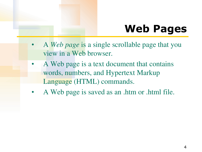# **Web Pages**

- A *Web page* is a single scrollable page that you view in a Web browser.
- A Web page is a text document that contains words, numbers, and Hypertext Markup Language (HTML) commands.
- A Web page is saved as an .htm or .html file.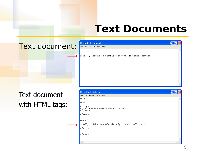## **Text Documents**

#### Text document: El Duntitled - Notepad



Text document with HTML tags:

| <b>Untitled - Notepad</b>                                        |  |
|------------------------------------------------------------------|--|
| File Edit Format View Help                                       |  |
| <html></html>                                                    |  |
| <head></head>                                                    |  |
| <title><br/>Miscellaneous comments about condiments<br/></title> |  |
|                                                                  |  |
| <body></body>                                                    |  |
| Usually, ketchup is desirable only in very small portions.       |  |
|                                                                  |  |
|                                                                  |  |
| $\,$ $\,$                                                        |  |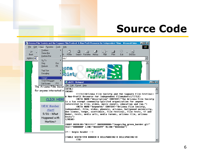## **Source Code**

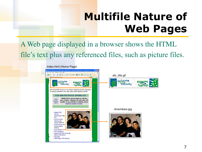# **Multifile Nature of Web Pages**

A Web page displayed in a browser shows the HTML file's text plus any referenced files, such as picture files.

#### •Index.html (Home Page) Arizona Film Society and the Saguaro Film Festival: A Non-Profit Resource for Independent Film... View Exvortes Tools Help G Back → → x 2 → B Search + Favorites + Media → B B + afs\_title.gif rizona The Arizona Film Society is a tax exempt community-spirited organization for anyone interested in film, video, music events, education, and fun. CLICK HERE FOR FESTIVAL WINNERS LIST THANK YOU to all who helped out with this **NEW** year's festival. Volunteers are what make AFS Member possible. If you would like to volunteer, please Alert! download a member brochure. •4members.jpg · Saguaro Film **Festival International**, May  $5 - 7$ · AZ Film School with Dov 5.5. Simens, 4/29-30 · Screenwriting with **Richard Walter**  $5/12-13$ · Press Releases 3/ · Film Discussionsl · Saguaro Film Fest Screenings · General Information · Film Links - 1999 Saguaro Film Festival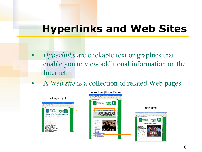## **Hyperlinks and Web Sites**

- *Hyperlinks* are clickable text or graphics that enable you to view additional information on the Internet.
- A *Web site* is a collection of related Web pages.





**biety** 



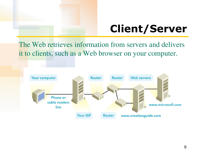# **Client/Server**

The Web retrieves information from servers and delivers it to clients, such as a Web browser on your computer.